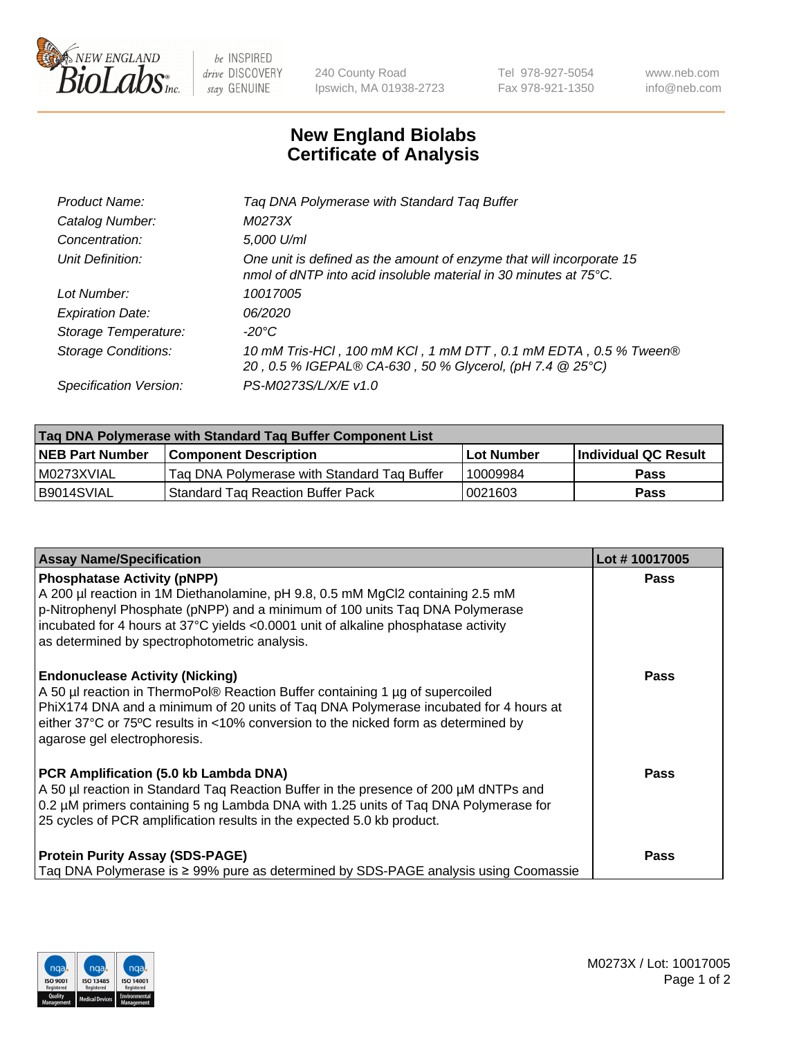

 $be$  INSPIRED drive DISCOVERY stay GENUINE

240 County Road Ipswich, MA 01938-2723 Tel 978-927-5054 Fax 978-921-1350 www.neb.com info@neb.com

## **New England Biolabs Certificate of Analysis**

| Tag DNA Polymerase with Standard Tag Buffer                                                                                              |
|------------------------------------------------------------------------------------------------------------------------------------------|
| M0273X                                                                                                                                   |
| 5,000 U/ml                                                                                                                               |
| One unit is defined as the amount of enzyme that will incorporate 15<br>nmol of dNTP into acid insoluble material in 30 minutes at 75°C. |
| 10017005                                                                                                                                 |
| 06/2020                                                                                                                                  |
| $-20^{\circ}$ C                                                                                                                          |
| 10 mM Tris-HCl, 100 mM KCl, 1 mM DTT, 0.1 mM EDTA, 0.5 % Tween®<br>20, 0.5 % IGEPAL® CA-630, 50 % Glycerol, (pH 7.4 @ 25°C)              |
| PS-M0273S/L/X/E v1.0                                                                                                                     |
|                                                                                                                                          |

| Tag DNA Polymerase with Standard Tag Buffer Component List |                                             |                   |                      |  |
|------------------------------------------------------------|---------------------------------------------|-------------------|----------------------|--|
| <b>NEB Part Number</b>                                     | Component Description_                      | <b>Lot Number</b> | Individual QC Result |  |
| I M0273XVIAL                                               | Tag DNA Polymerase with Standard Tag Buffer | 10009984          | Pass                 |  |
| B9014SVIAL                                                 | Standard Tag Reaction Buffer Pack           | 0021603           | <b>Pass</b>          |  |

| <b>Assay Name/Specification</b>                                                                                                                                                                                                                                                                                                             | Lot #10017005 |
|---------------------------------------------------------------------------------------------------------------------------------------------------------------------------------------------------------------------------------------------------------------------------------------------------------------------------------------------|---------------|
| <b>Phosphatase Activity (pNPP)</b><br>A 200 µl reaction in 1M Diethanolamine, pH 9.8, 0.5 mM MgCl2 containing 2.5 mM<br>p-Nitrophenyl Phosphate (pNPP) and a minimum of 100 units Taq DNA Polymerase<br>incubated for 4 hours at 37°C yields <0.0001 unit of alkaline phosphatase activity<br>as determined by spectrophotometric analysis. | <b>Pass</b>   |
| <b>Endonuclease Activity (Nicking)</b><br>A 50 µl reaction in ThermoPol® Reaction Buffer containing 1 µg of supercoiled<br>PhiX174 DNA and a minimum of 20 units of Taq DNA Polymerase incubated for 4 hours at<br>either 37°C or 75°C results in <10% conversion to the nicked form as determined by<br>agarose gel electrophoresis.       | <b>Pass</b>   |
| PCR Amplification (5.0 kb Lambda DNA)<br>A 50 µl reaction in Standard Taq Reaction Buffer in the presence of 200 µM dNTPs and<br>0.2 µM primers containing 5 ng Lambda DNA with 1.25 units of Taq DNA Polymerase for<br>25 cycles of PCR amplification results in the expected 5.0 kb product.                                              | Pass          |
| <b>Protein Purity Assay (SDS-PAGE)</b><br>Taq DNA Polymerase is ≥ 99% pure as determined by SDS-PAGE analysis using Coomassie                                                                                                                                                                                                               | <b>Pass</b>   |